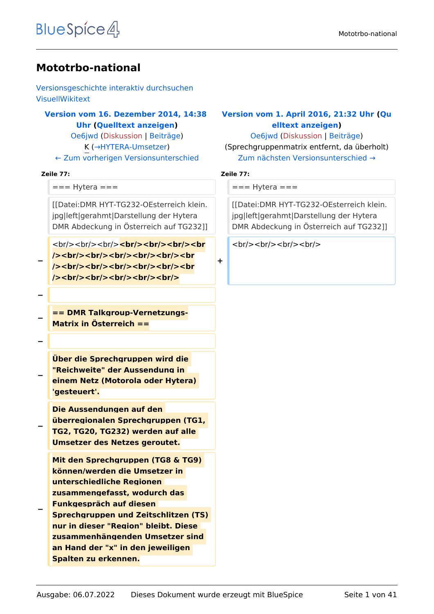#### **Mototrbo-national**

[Versionsgeschichte interaktiv durchsuchen](https://wiki.oevsv.at) [VisuellWikitext](https://wiki.oevsv.at)

#### **[Version vom 16. Dezember 2014, 14:38](https://wiki.oevsv.at/w/index.php?title=Mototrbo-national&oldid=13256)  [Uhr](https://wiki.oevsv.at/w/index.php?title=Mototrbo-national&oldid=13256) ([Quelltext anzeigen\)](https://wiki.oevsv.at/w/index.php?title=Mototrbo-national&action=edit&oldid=13256)** [Oe6jwd](https://wiki.oevsv.at/wiki/Benutzer:Oe6jwd) ([Diskussion](https://wiki.oevsv.at/w/index.php?title=Benutzer_Diskussion:Oe6jwd&action=view) | [Beiträge\)](https://wiki.oevsv.at/wiki/Spezial:Beitr%C3%A4ge/Oe6jwd)

K (→HYTERA-Umsetzer) [← Zum vorherigen Versionsunterschied](https://wiki.oevsv.at/w/index.php?title=Mototrbo-national&diff=prev&oldid=13256)

#### **Zeile 77: Zeile 77:**

```
== Hytera == = = = + Hytera ==
```
[[Datei:DMR HYT-TG232-OEsterreich klein. jpg|left|gerahmt|Darstellung der Hytera DMR Abdeckung in Österreich auf TG232]]

<br/>
<br/>
<br/>
<br/>
<br/>
<br/>
<br/>
<br/>
<br/>
<br/>
<br/>
<br/>
<br/>
<br/>
<br/>
<br/>
<br/>
<br/>
<br/>
<br/>
<br/>
<br/>
<br/>
<br/>
<br/>
<br/>
<br/>
<br/>
<br/>
<br/>
<br/>
<br/>
<br/>
<br/>
<br/>
<br/>
<br/> />/> /> <br/> <br/>br/>><br/>br/>><br/>br/><br/><br/>><br/> **/><br/><br/><br/><br/><br/><br /><br/><br/><br/><br/><br/>**

**−**

**−**

**−**

**== DMR Talkgroup-Vernetzungs-Matrix in Österreich ==**

**−**

**−**

**−**

**−**

**Über die Sprechgruppen wird die "Reichweite" der Aussendung in einem Netz (Motorola oder Hytera) 'gesteuert'.**

**Die Aussendungen auf den überregionalen Sprechgruppen (TG1, TG2, TG20, TG232) werden auf alle Umsetzer des Netzes geroutet.**

**Mit den Sprechgruppen (TG8 & TG9) können/werden die Umsetzer in unterschiedliche Regionen zusammengefasst, wodurch das Funkgespräch auf diesen** 

**Sprechgruppen und Zeitschlitzen (TS) nur in dieser "Region" bleibt. Diese zusammenhängenden Umsetzer sind an Hand der "x" in den jeweiligen Spalten zu erkennen.**

#### **[Version vom 1. April 2016, 21:32 Uhr](https://wiki.oevsv.at/w/index.php?title=Mototrbo-national&oldid=14005) ([Qu](https://wiki.oevsv.at/w/index.php?title=Mototrbo-national&action=edit&oldid=14005) [elltext anzeigen](https://wiki.oevsv.at/w/index.php?title=Mototrbo-national&action=edit&oldid=14005))**

[Oe6jwd](https://wiki.oevsv.at/wiki/Benutzer:Oe6jwd) [\(Diskussion](https://wiki.oevsv.at/w/index.php?title=Benutzer_Diskussion:Oe6jwd&action=view) | [Beiträge](https://wiki.oevsv.at/wiki/Spezial:Beitr%C3%A4ge/Oe6jwd)) (Sprechgruppenmatrix entfernt, da überholt) [Zum nächsten Versionsunterschied →](https://wiki.oevsv.at/w/index.php?title=Mototrbo-national&diff=next&oldid=14005)

**+**

[[Datei:DMR HYT-TG232-OEsterreich klein. jpg|left|gerahmt|Darstellung der Hytera DMR Abdeckung in Österreich auf TG232]]

 $br/>=  
br/>=  
br/>=  
br/>=  
br/>=  
br/>=$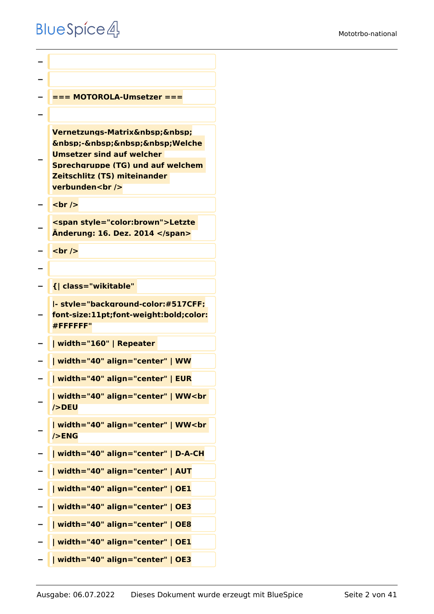```
−
−
  − === MOTOROLA-Umsetzer ===
−
−
   Vernetzungs-Matrix   
   knbsp;-   Welche
   Umsetzer sind auf welcher 
   Sprechgruppe (TG) und auf welchem 
   Zeitschlitz (TS) miteinander 
   verbunden<br />
  <u><del></del> <br /></u>
−
   <span style="color:brown">Letzte 
   Änderung: 16. Dez. 2014 </span>
  − <br />
−
  − {| class="wikitable" 
−
   |- style="background-color:#517CFF;
   font-size:11pt;font-weight:bold;color:
   #FFFFFF"
  − | width="160" | Repeater 
− | width="40" align="center" | WW
  − | width="40" align="center" | EUR
−
   | width="40" align="center" | WW<br 
   />DEU
−
   | width="40" align="center" | WW<br 
   />ENG
− | width="40" align="center" | D-A-CH
− | width="40" align="center" | AUT
  − | width="40" align="center" | OE1
  − | width="40" align="center" | OE3
  − | width="40" align="center" | OE8
   − | width="40" align="center" | OE1
   − | width="40" align="center" | OE3
```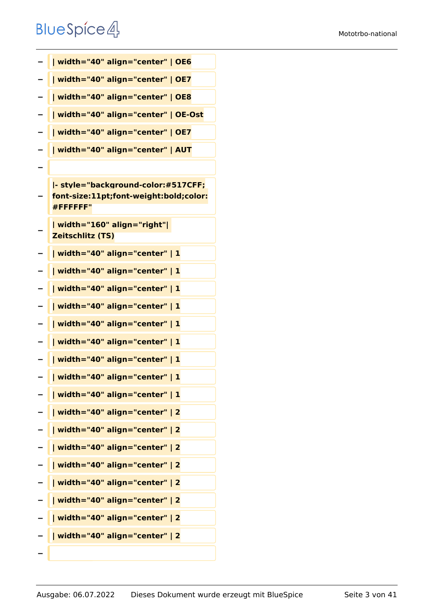| - | width="40" align="center"   OE6                                                          |
|---|------------------------------------------------------------------------------------------|
| - | width="40" align="center"   OE7                                                          |
|   | width="40" align="center"   OE8                                                          |
|   | width="40" align="center"   OE-Ost                                                       |
|   | width="40" align="center"   OE7                                                          |
|   | width="40" align="center"   AUT                                                          |
|   |                                                                                          |
|   | - style="background-color:#517CFF;<br>font-size:11pt;font-weight:bold;color:<br>#FFFFFF" |
|   | width="160" align="right" <br><b>Zeitschlitz (TS)</b>                                    |
|   | width="40" align="center"   1                                                            |
|   | width="40" align="center"   1                                                            |
|   | width="40" align="center"   1                                                            |
|   | width="40" align="center"   1                                                            |
|   | width="40" align="center"   1                                                            |
| - | width="40" align="center"   1                                                            |
| - | width="40" align="center"   1                                                            |
|   | width="40" align="center"   1                                                            |
|   | width="40" align="center"   1                                                            |
|   | width="40" align="center"   2                                                            |
|   | width="40" align="center"   2                                                            |
|   | width="40" align="center"   2                                                            |
|   | width="40" align="center"   2                                                            |
|   | width="40" align="center"   2                                                            |
|   | width="40" align="center"   2                                                            |
|   | width="40" align="center"   2                                                            |
|   | width="40" align="center"   2                                                            |
|   |                                                                                          |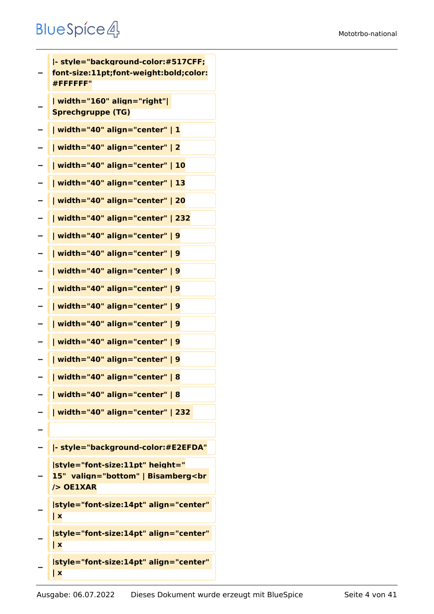**− |- style="background-color:#517CFF; font-size:11pt;font-weight:bold;color: #FFFFFF" − | width="160" align="right"| Sprechgruppe (TG) − | width="40" align="center" | 1 − | width="40" align="center" | 2 − | width="40" align="center" | 10 − | width="40" align="center" | 13 − | width="40" align="center" | 20 − | width="40" align="center" | 232 − | width="40" align="center" | 9 − | width="40" align="center" | 9 − | width="40" align="center" | 9 − | width="40" align="center" | 9 − | width="40" align="center" | 9 − | width="40" align="center" | 9 − | width="40" align="center" | 9 − | width="40" align="center" | 9 − | width="40" align="center" | 8 − | width="40" align="center" | 8 − | width="40" align="center" | 232 − − |- style="background-color:#E2EFDA" − |style="font-size:11pt" height=" 15" valign="bottom" | Bisamberg<br /> OE1XAR − |style="font-size:14pt" align="center" | x − |style="font-size:14pt" align="center" | x − |style="font-size:14pt" align="center" | x**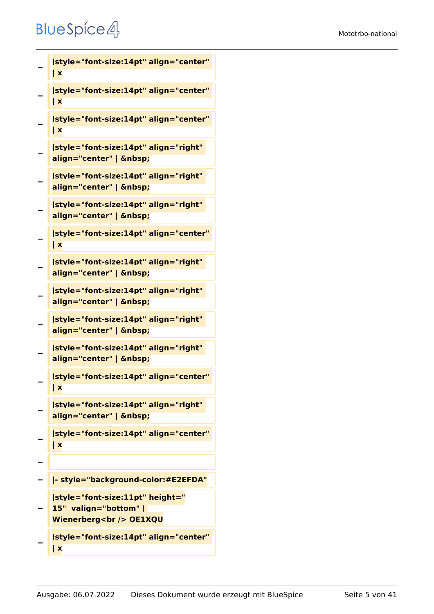```
−
   |style="font-size:14pt" align="center" 
   | x
−
   |style="font-size:14pt" align="center" 
   | x
−
   |style="font-size:14pt" align="center" 
   | x
−
   |style="font-size:14pt" align="right" 
   align="center" |  
−
   |style="font-size:14pt" align="right" 
   align="center" |  
−
   |style="font-size:14pt" align="right" 
   align="center" |  
−
   |style="font-size:14pt" align="center" 
   | x
−
   |style="font-size:14pt" align="right" 
   align="center" |  
−
   |style="font-size:14pt" align="right" 
   align="center" |  
−
   |style="font-size:14pt" align="right" 
   align="center" |  
−
   |style="font-size:14pt" align="right" 
   align="center" |  
−
   |style="font-size:14pt" align="center" 
   | x
−
   |style="font-size:14pt" align="right" 
   align="center" |  
−
   |style="font-size:14pt" align="center" 
   | x
−
  − |- style="background-color:#E2EFDA"
−
   |style="font-size:11pt" height="
   15"  valign="bottom" | 
   Wienerberg<br /> OE1XQU
−
   |style="font-size:14pt" align="center"
```
**| x**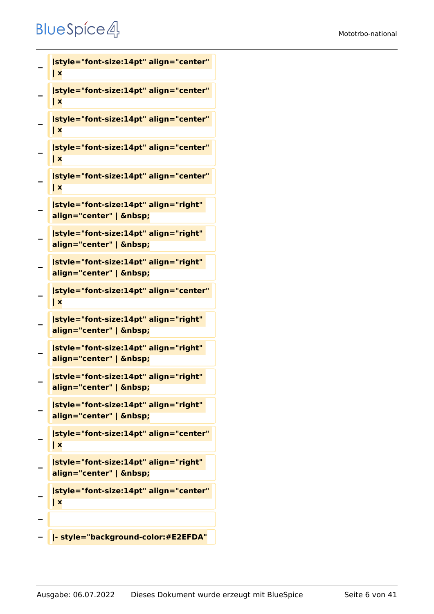```
−
   |style="font-size:14pt" align="center" 
   | x
−
   |style="font-size:14pt" align="center" 
   | x
−
   |style="font-size:14pt" align="center" 
   | x
−
   |style="font-size:14pt" align="center" 
   | x
−
   |style="font-size:14pt" align="center" 
   | x
−
   |style="font-size:14pt" align="right" 
   align="center" |  
−
   |style="font-size:14pt" align="right" 
   align="center" |  
−
   |style="font-size:14pt" align="right" 
   align="center" |  
−
   |style="font-size:14pt" align="center" 
   | x
−
   |style="font-size:14pt" align="right" 
   align="center" |  
−
   |style="font-size:14pt" align="right" 
   align="center" |  
−
   |style="font-size:14pt" align="right" 
   align="center" |  
−
   |style="font-size:14pt" align="right" 
   align="center" |  
−
   |style="font-size:14pt" align="center" 
   | x
−
   |style="font-size:14pt" align="right" 
   align="center" |  
−
   |style="font-size:14pt" align="center" 
   | x
−
  − |- style="background-color:#E2EFDA"
```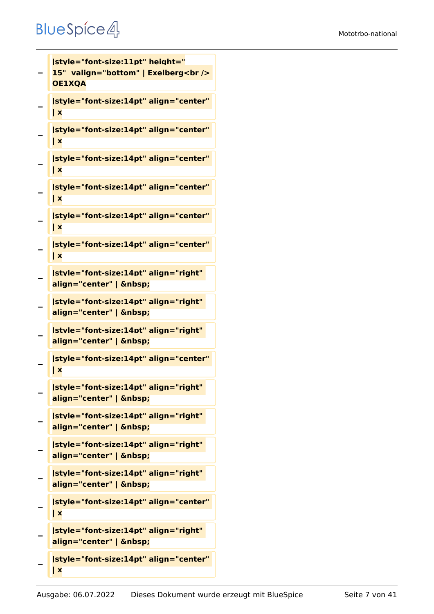#### Mototrbo-national

#### **BlueSpice4**

```
−
   |style="font-size:11pt" height="
  15" valign="bottom" | Exelberg<br />
   OE1XQA
−
   |style="font-size:14pt" align="center" 
   | x
−
   |style="font-size:14pt" align="center" 
   | x
−
   |style="font-size:14pt" align="center" 
   | x
−
   |style="font-size:14pt" align="center" 
   | x
−
   |style="font-size:14pt" align="center" 
   | x
−
   |style="font-size:14pt" align="center" 
   | x
−
   |style="font-size:14pt" align="right" 
   align="center" |  
−
   |style="font-size:14pt" align="right" 
   align="center" |  
−
   |style="font-size:14pt" align="right" 
   align="center" |  
−
   |style="font-size:14pt" align="center" 
   | x
−
   |style="font-size:14pt" align="right" 
   align="center" |  
−
   |style="font-size:14pt" align="right" 
   align="center" |  
−
   |style="font-size:14pt" align="right" 
   align="center" |  
−
   |style="font-size:14pt" align="right" 
   align="center" |  
−
   |style="font-size:14pt" align="center" 
   | x
−
   |style="font-size:14pt" align="right" 
   align="center" |  
   |style="font-size:14pt" align="center"
```
**| x**

**−**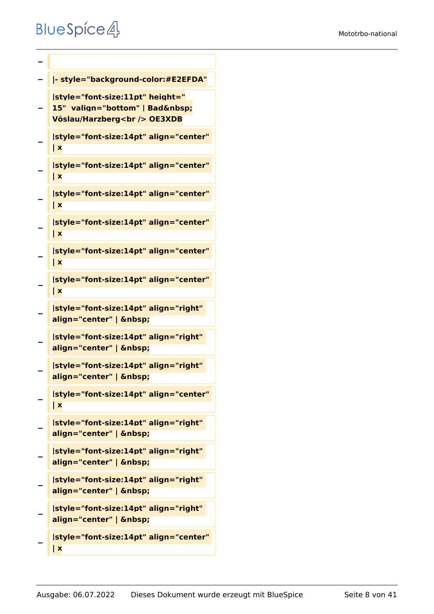```
−
− |- style="background-color:#E2EFDA"
−
   |style="font-size:11pt" height="
   15" valign="bottom" | Bad 
   Vöslau/Harzberg<br /> OE3XDB
−
   |style="font-size:14pt" align="center" 
   | x
−
   |style="font-size:14pt" align="center" 
   | x
−
   |style="font-size:14pt" align="center" 
   | x
−
   |style="font-size:14pt" align="center" 
   | x
−
   |style="font-size:14pt" align="center" 
   | x
−
   |style="font-size:14pt" align="center" 
   | x
−
   |style="font-size:14pt" align="right" 
   align="center" |  
−
   |style="font-size:14pt" align="right" 
   align="center" |  
−
   |style="font-size:14pt" align="right" 
   align="center" |  
−
   |style="font-size:14pt" align="center" 
   | x
−
   |style="font-size:14pt" align="right" 
   align="center" |  
−
   |style="font-size:14pt" align="right" 
   align="center" |  
−
   |style="font-size:14pt" align="right" 
   align="center" |  
−
   |style="font-size:14pt" align="right" 
   align="center" |  
   |style="font-size:14pt" align="center"
```
**| x**

**−**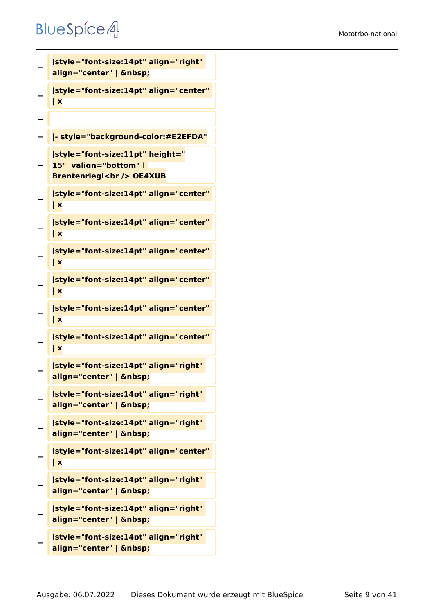```
−
   |style="font-size:14pt" align="right" 
   align="center" |  
−
   |style="font-size:14pt" align="center" 
   | x
−
  − |- style="background-color:#E2EFDA"
−
   |style="font-size:11pt" height="
   15"  valign="bottom" | 
   Brentenriegl<br /> OE4XUB
−
   |style="font-size:14pt" align="center" 
   | x
−
   |style="font-size:14pt" align="center" 
   | x
−
   |style="font-size:14pt" align="center" 
   | x
−
   |style="font-size:14pt" align="center" 
   | x
−
   |style="font-size:14pt" align="center" 
   | x
−
   |style="font-size:14pt" align="center" 
   | x
−
   |style="font-size:14pt" align="right" 
   align="center" |  
−
   |style="font-size:14pt" align="right" 
   align="center" |  
−
   |style="font-size:14pt" align="right" 
   align="center" |  
−
   |style="font-size:14pt" align="center" 
   | x
−
   |style="font-size:14pt" align="right" 
   align="center" |  
−
   |style="font-size:14pt" align="right" 
   align="center" |  
−
   |style="font-size:14pt" align="right" 
   align="center" |
```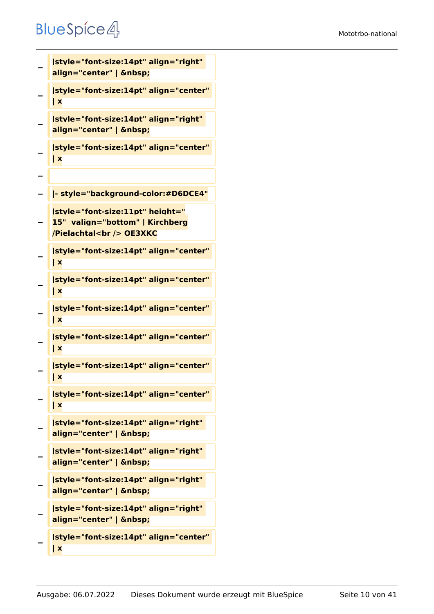```
−
   |style="font-size:14pt" align="right" 
   align="center" |  
−
   |style="font-size:14pt" align="center" 
   | x
−
   |style="font-size:14pt" align="right" 
   align="center" |  
−
   |style="font-size:14pt" align="center" 
   | x
−
  − |- style="background-color:#D6DCE4"
−
   |style="font-size:11pt" height="
   15"  valign="bottom" | Kirchberg
   /Pielachtal<br /> OE3XKC
−
   |style="font-size:14pt" align="center" 
   | x
−
   |style="font-size:14pt" align="center" 
   | x
−
   |style="font-size:14pt" align="center" 
   | x
−
   |style="font-size:14pt" align="center" 
   | x
−
   |style="font-size:14pt" align="center" 
   | x
−
   |style="font-size:14pt" align="center" 
   | x
−
   |style="font-size:14pt" align="right" 
   align="center" |  
−
   |style="font-size:14pt" align="right" 
   align="center" |  
−
   |style="font-size:14pt" align="right" 
   align="center" |  
−
   |style="font-size:14pt" align="right" 
   align="center" |  
−
   |style="font-size:14pt" align="center" 
   | x
```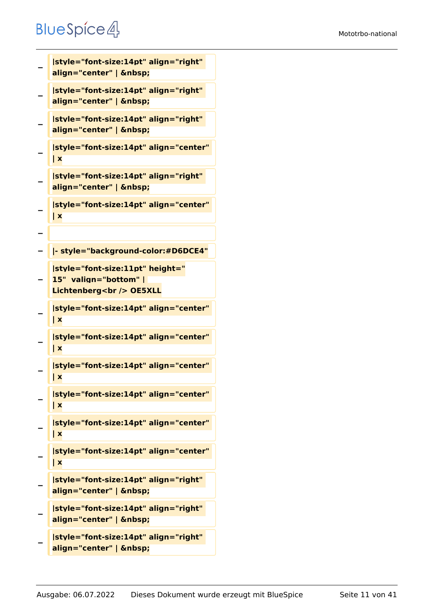```
−
   |style="font-size:14pt" align="right" 
   align="center" |  
−
   |style="font-size:14pt" align="right" 
   align="center" |  
−
   |style="font-size:14pt" align="right" 
   align="center" |  
−
   |style="font-size:14pt" align="center" 
   | x
−
   |style="font-size:14pt" align="right" 
   align="center" |  
−
   |style="font-size:14pt" align="center" 
   | x
−
  − |- style="background-color:#D6DCE4"
−
   |style="font-size:11pt" height="
   15"  valign="bottom" | 
   Lichtenberg<br />
OE5XLL
−
   |style="font-size:14pt" align="center" 
   | x
−
   |style="font-size:14pt" align="center" 
   | x
−
   |style="font-size:14pt" align="center" 
   | x
−
   |style="font-size:14pt" align="center" 
   | x
−
   |style="font-size:14pt" align="center" 
   | x
−
   |style="font-size:14pt" align="center" 
   | x
−
   |style="font-size:14pt" align="right" 
   align="center" |  
−
   |style="font-size:14pt" align="right" 
   align="center" |  
−
   |style="font-size:14pt" align="right"
```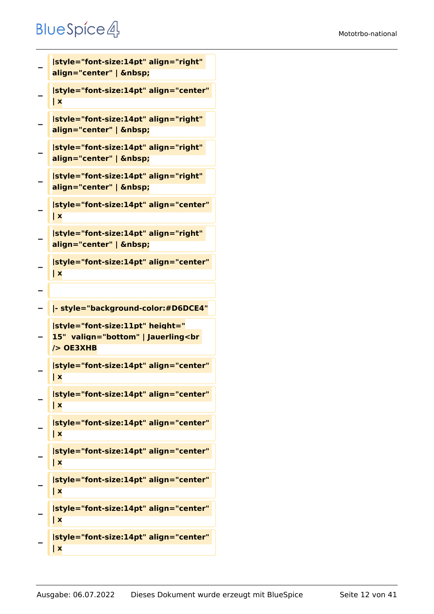```
−
   |style="font-size:14pt" align="right" 
   align="center" |  
−
   |style="font-size:14pt" align="center" 
   | x
−
   |style="font-size:14pt" align="right" 
   align="center" |  
−
   |style="font-size:14pt" align="right" 
   align="center" |  
−
   |style="font-size:14pt" align="right" 
   align="center" |  
−
   |style="font-size:14pt" align="center" 
   | x
−
   |style="font-size:14pt" align="right" 
   align="center" |  
−
   |style="font-size:14pt" align="center" 
   | x
−
− |- style="background-color:#D6DCE4"
−
   |style="font-size:11pt" height="
   15"  valign="bottom" | Jauerling<br 
   /> OE3XHB
−
   |style="font-size:14pt" align="center" 
   | x
−
   |style="font-size:14pt" align="center" 
   | x
−
   |style="font-size:14pt" align="center" 
   | x
−
   |style="font-size:14pt" align="center" 
   | x
−
   |style="font-size:14pt" align="center" 
   | x
−
   |style="font-size:14pt" align="center" 
   | x
−
   |style="font-size:14pt" align="center" 
   | x
```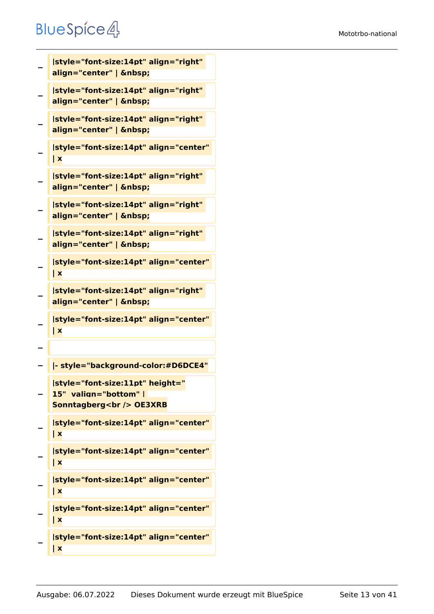```
−
   |style="font-size:14pt" align="right" 
   align="center" |  
−
   |style="font-size:14pt" align="right" 
   align="center" |  
−
   |style="font-size:14pt" align="right" 
   align="center" |  
−
   |style="font-size:14pt" align="center" 
   | x
−
   |style="font-size:14pt" align="right" 
   align="center" |  
−
   |style="font-size:14pt" align="right" 
   align="center" |  
−
   |style="font-size:14pt" align="right" 
   align="center" |  
−
   |style="font-size:14pt" align="center" 
   | x
−
   |style="font-size:14pt" align="right" 
   align="center" |  
−
   |style="font-size:14pt" align="center" 
   | x
−
  − |- style="background-color:#D6DCE4"
−
   |style="font-size:11pt" height="
   15"  valign="bottom" | 
   Sonntagberg<br />
OE3XRB
−
   |style="font-size:14pt" align="center" 
   | x
−
   |style="font-size:14pt" align="center" 
   | x
−
   |style="font-size:14pt" align="center" 
   | x
−
   |style="font-size:14pt" align="center" 
   | x
−
   |style="font-size:14pt" align="center" 
   | x
```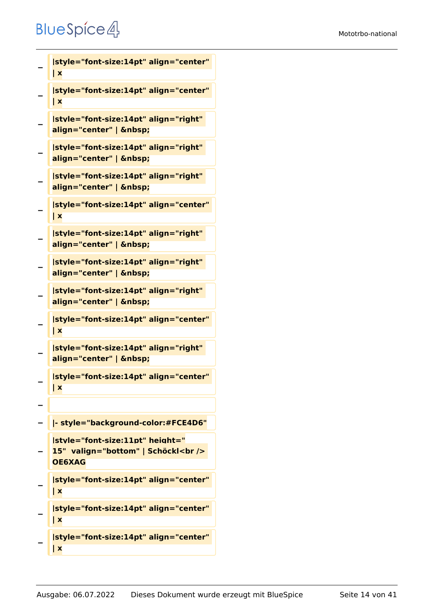```
−
   |style="font-size:14pt" align="center" 
   | x
−
   |style="font-size:14pt" align="center" 
   | x
−
   |style="font-size:14pt" align="right" 
   align="center" |  
−
   |style="font-size:14pt" align="right" 
   align="center" |  
−
   |style="font-size:14pt" align="right" 
   align="center" |  
−
   |style="font-size:14pt" align="center" 
   | x
−
   |style="font-size:14pt" align="right" 
   align="center" |  
−
   |style="font-size:14pt" align="right" 
   align="center" |  
−
   |style="font-size:14pt" align="right" 
   align="center" |  
−
   |style="font-size:14pt" align="center" 
   | x
−
   |style="font-size:14pt" align="right" 
   align="center" |  
−
   |style="font-size:14pt" align="center" 
   | x
−
− |- style="background-color:#FCE4D6"
−
   |style="font-size:11pt" height="
   15"  valign="bottom" | Schöckl<br /> 
   OE6XAG
−
   |style="font-size:14pt" align="center" 
   | x
−
   |style="font-size:14pt" align="center" 
   | x
```

```
−
   |style="font-size:14pt" align="center" 
   | x
```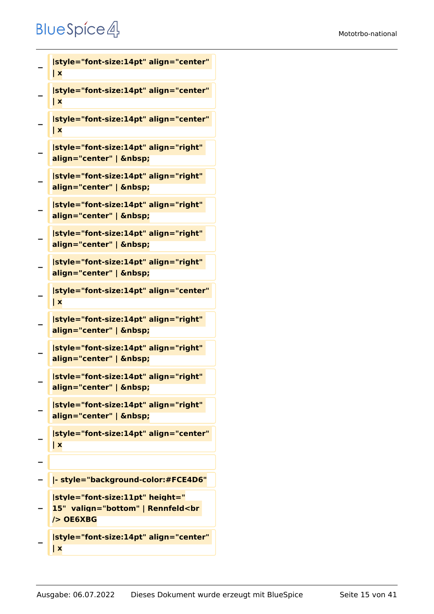```
−
   |style="font-size:14pt" align="center" 
   | x
−
   |style="font-size:14pt" align="center" 
   | x
−
   |style="font-size:14pt" align="center" 
   | x
−
   |style="font-size:14pt" align="right" 
   align="center" |  
−
   |style="font-size:14pt" align="right" 
   align="center" |  
−
   |style="font-size:14pt" align="right" 
   align="center" |  
−
   |style="font-size:14pt" align="right" 
   align="center" |  
−
   |style="font-size:14pt" align="right" 
   align="center" |  
−
   |style="font-size:14pt" align="center" 
   | x
−
   |style="font-size:14pt" align="right" 
   align="center" |  
−
   |style="font-size:14pt" align="right" 
   align="center" |  
−
   |style="font-size:14pt" align="right" 
   align="center" |  
−
   |style="font-size:14pt" align="right" 
   align="center" |  
−
   |style="font-size:14pt" align="center" 
   | x
−
  − |- style="background-color:#FCE4D6"
−
   |style="font-size:11pt" height="
   15"  valign="bottom" | Rennfeld<br 
   /> OE6XBG
```
**− |style="font-size:14pt" align="center" | x**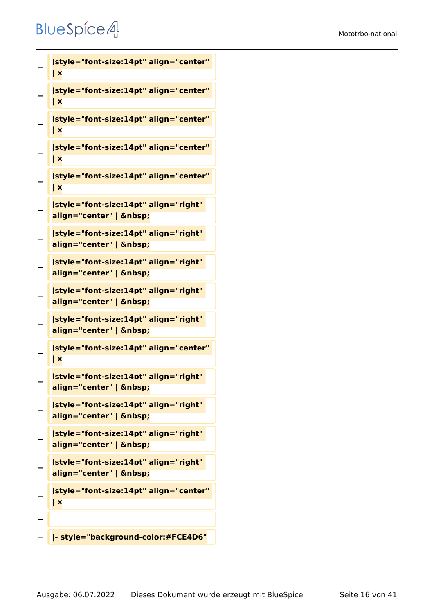```
−
   |style="font-size:14pt" align="center" 
   | x
−
   |style="font-size:14pt" align="center" 
   | x
−
   |style="font-size:14pt" align="center" 
   | x
−
   |style="font-size:14pt" align="center" 
   | x
−
   |style="font-size:14pt" align="center" 
   | x
−
   |style="font-size:14pt" align="right" 
   align="center" |  
−
   |style="font-size:14pt" align="right" 
   align="center" |  
−
   |style="font-size:14pt" align="right" 
   align="center" |  
−
   |style="font-size:14pt" align="right" 
   align="center" |  
−
   |style="font-size:14pt" align="right" 
   align="center" |  
−
   |style="font-size:14pt" align="center" 
   | x
−
   |style="font-size:14pt" align="right" 
   align="center" | &nbsp:
−
   |style="font-size:14pt" align="right" 
   align="center" |  
−
   |style="font-size:14pt" align="right" 
   align="center" |  
−
   |style="font-size:14pt" align="right" 
   align="center" |  
−
   |style="font-size:14pt" align="center" 
   | x
−
```
**− |- style="background-color:#FCE4D6"**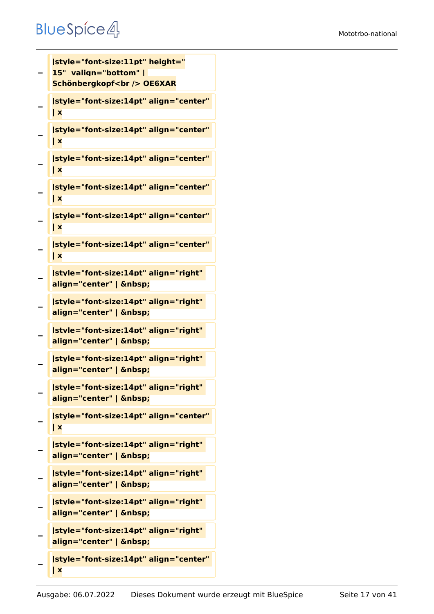#### Mototrbo-national

```
−
   |style="font-size:11pt" height="
   15"  valign="bottom" | 
   Schönbergkopf<br />
OE6XAR
−
   |style="font-size:14pt" align="center" 
   | x
−
   |style="font-size:14pt" align="center" 
   | x
−
   |style="font-size:14pt" align="center" 
   | x
−
   |style="font-size:14pt" align="center" 
   | x
−
   |style="font-size:14pt" align="center" 
   | x
−
   |style="font-size:14pt" align="center" 
   | x
−
   |style="font-size:14pt" align="right" 
   align="center" |  
−
   |style="font-size:14pt" align="right" 
   align="center" |  
−
   |style="font-size:14pt" align="right" 
   align="center" |  
−
   |style="font-size:14pt" align="right" 
   align="center" |  
−
   |style="font-size:14pt" align="right" 
   align="center" |  
−
   |style="font-size:14pt" align="center" 
   | x
−
   |style="font-size:14pt" align="right" 
   align="center" |  
−
   |style="font-size:14pt" align="right" 
   align="center" | &nbsp:
−
   |style="font-size:14pt" align="right" 
   align="center" |  
−
   |style="font-size:14pt" align="right" 
   align="center" |  
−
   |style="font-size:14pt" align="center" 
   | x
```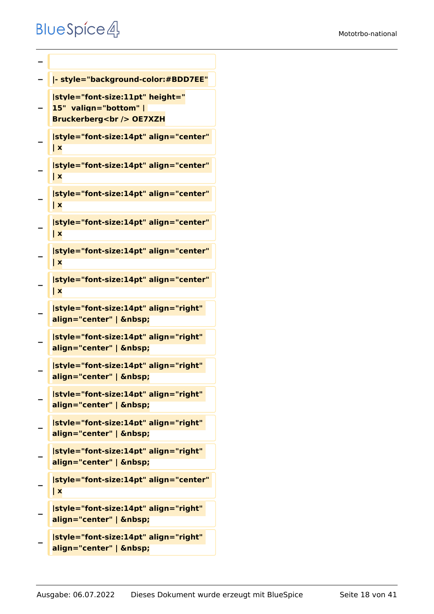```
−
− |- style="background-color:#BDD7EE"
−
   |style="font-size:11pt" height="
   15"  valign="bottom" | 
   Bruckerberg<br /> OE7XZH
−
   |style="font-size:14pt" align="center" 
   | x
−
   |style="font-size:14pt" align="center" 
   | x
−
   |style="font-size:14pt" align="center" 
   | x
−
   |style="font-size:14pt" align="center" 
   | x
−
   |style="font-size:14pt" align="center" 
   | x
−
   |style="font-size:14pt" align="center" 
   | x
−
   |style="font-size:14pt" align="right" 
   align="center" |  
−
   |style="font-size:14pt" align="right" 
   align="center" |  
−
   |style="font-size:14pt" align="right" 
   align="center" |  
−
   |style="font-size:14pt" align="right" 
   align="center" |  
−
   |style="font-size:14pt" align="right" 
   align="center" |  
−
   |style="font-size:14pt" align="right" 
   align="center" |  
−
   |style="font-size:14pt" align="center" 
   | x
−
   |style="font-size:14pt" align="right" 
   align="center" |
```

```
−
   |style="font-size:14pt" align="right" 
   align="center" |
```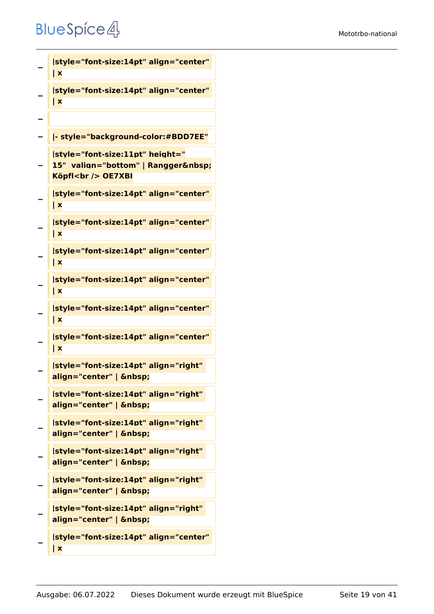```
−
   |style="font-size:14pt" align="center" 
   | x
−
   |style="font-size:14pt" align="center" 
   | x
−
  − |- style="background-color:#BDD7EE"
−
   |style="font-size:11pt" height="
   15" valign="bottom" | Rangger 
   Köpfl<br /> OE7XBI
−
   |style="font-size:14pt" align="center" 
   | x
−
   |style="font-size:14pt" align="center" 
   | x
−
   |style="font-size:14pt" align="center" 
   | x
−
   |style="font-size:14pt" align="center" 
   | x
−
   |style="font-size:14pt" align="center" 
   | x
−
   |style="font-size:14pt" align="center" 
   | x
−
   |style="font-size:14pt" align="right" 
   align="center" |  
−
   |style="font-size:14pt" align="right" 
   align="center" |  
−
   |style="font-size:14pt" align="right" 
   align="center" |  
−
   |style="font-size:14pt" align="right" 
   align="center" |  
−
   |style="font-size:14pt" align="right" 
   align="center" |  
−
   |style="font-size:14pt" align="right" 
   align="center" |  
−
   |style="font-size:14pt" align="center" 
   | x
```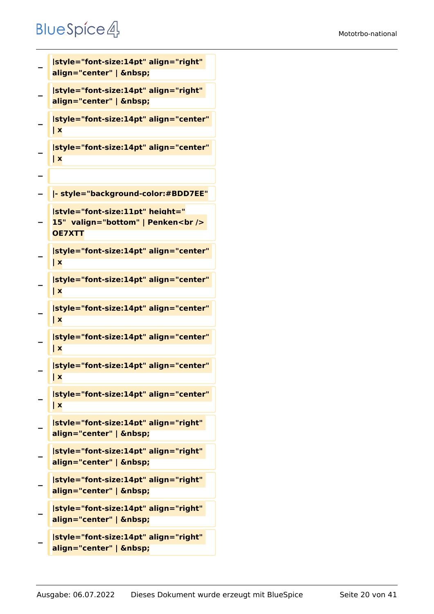```
−
   |style="font-size:14pt" align="right" 
   align="center" |  
−
   |style="font-size:14pt" align="right" 
   align="center" |  
−
   |style="font-size:14pt" align="center" 
   | x
−
   |style="font-size:14pt" align="center" 
   | x
−
  − |- style="background-color:#BDD7EE"
−
   |style="font-size:11pt" height="
   15"  valign="bottom" | Penken<br /> 
   OE7XTT
−
   |style="font-size:14pt" align="center" 
   | x
−
   |style="font-size:14pt" align="center" 
   | x
−
   |style="font-size:14pt" align="center" 
   | x
−
   |style="font-size:14pt" align="center" 
   | x
−
   |style="font-size:14pt" align="center" 
   | x
−
   |style="font-size:14pt" align="center" 
   | x
−
   |style="font-size:14pt" align="right" 
   align="center" |  
−
   |style="font-size:14pt" align="right" 
   align="center" |  
−
   |style="font-size:14pt" align="right" 
   align="center" |  
−
   |style="font-size:14pt" align="right" 
   align="center" |  
−
   |style="font-size:14pt" align="right"
```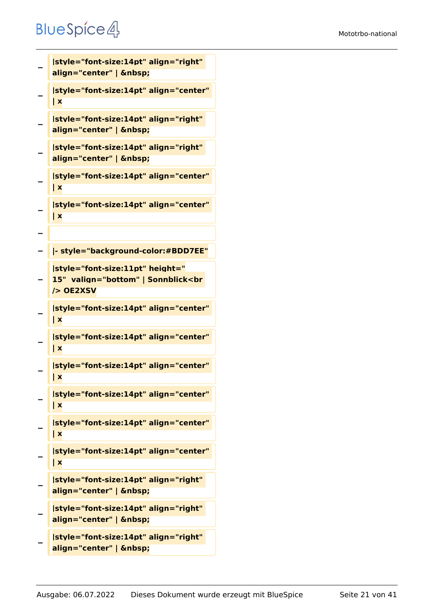```
−
   |style="font-size:14pt" align="right" 
   align="center" |  
−
   |style="font-size:14pt" align="center" 
   | x
−
   |style="font-size:14pt" align="right" 
   align="center" |  
−
   |style="font-size:14pt" align="right" 
   align="center" |  
−
   |style="font-size:14pt" align="center" 
   | x
−
   |style="font-size:14pt" align="center" 
   | x
−
  − |- style="background-color:#BDD7EE"
−
   |style="font-size:11pt" height="
   15"  valign="bottom" | Sonnblick<br 
   /> OE2XSV
−
   |style="font-size:14pt" align="center" 
   | x
−
   |style="font-size:14pt" align="center" 
   | x
−
   |style="font-size:14pt" align="center" 
   | x
−
   |style="font-size:14pt" align="center" 
   | x
−
   |style="font-size:14pt" align="center" 
   | x
−
   |style="font-size:14pt" align="center" 
   | x
−
   |style="font-size:14pt" align="right" 
   align="center" |  
−
   |style="font-size:14pt" align="right" 
   align="center" |  
−
   |style="font-size:14pt" align="right"
```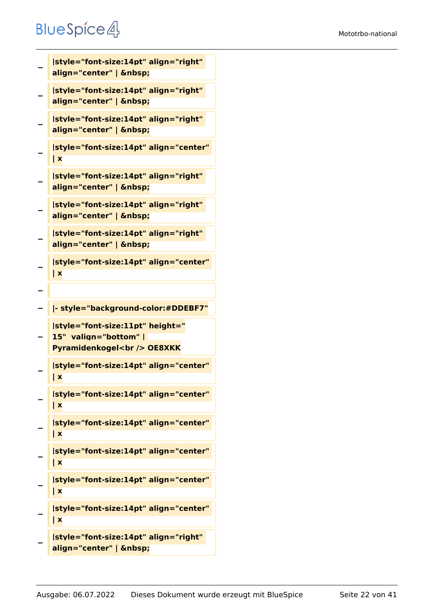```
−
   |style="font-size:14pt" align="right" 
   align="center" |  
−
   |style="font-size:14pt" align="right" 
   align="center" |  
−
   |style="font-size:14pt" align="right" 
   align="center" |  
−
   |style="font-size:14pt" align="center" 
   | x
−
   |style="font-size:14pt" align="right" 
   align="center" |  
−
   |style="font-size:14pt" align="right" 
   align="center" |  
−
   |style="font-size:14pt" align="right" 
   align="center" |  
−
   |style="font-size:14pt" align="center" 
   | x
−
  − |- style="background-color:#DDEBF7"
−
   |style="font-size:11pt" height="
   15"  valign="bottom" | 
   Pyramidenkogel<br /> OE8XKK
−
   |style="font-size:14pt" align="center" 
   | x
−
   |style="font-size:14pt" align="center" 
   | x
−
   |style="font-size:14pt" align="center" 
   | x
−
   |style="font-size:14pt" align="center" 
   | x
−
   |style="font-size:14pt" align="center" 
   | x
−
   |style="font-size:14pt" align="center" 
   | x
−
   |style="font-size:14pt" align="right"
```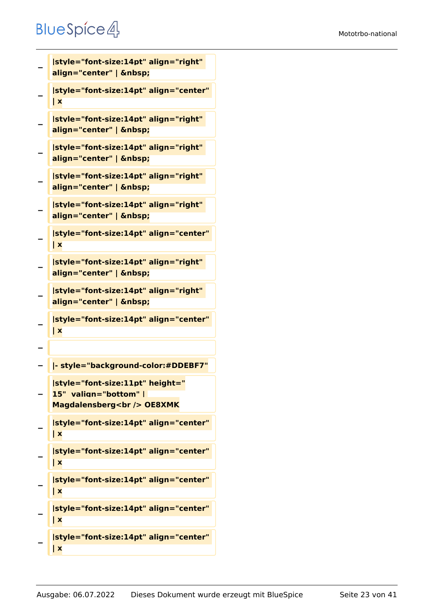```
−
   |style="font-size:14pt" align="right" 
   align="center" |  
−
   |style="font-size:14pt" align="center" 
   | x
−
   |style="font-size:14pt" align="right" 
   align="center" |  
−
   |style="font-size:14pt" align="right" 
   align="center" |  
−
   |style="font-size:14pt" align="right" 
   align="center" |  
−
   |style="font-size:14pt" align="right" 
   align="center" |  
−
   |style="font-size:14pt" align="center" 
   | x
−
   |style="font-size:14pt" align="right" 
   align="center" |  
−
   |style="font-size:14pt" align="right" 
   align="center" |  
−
   |style="font-size:14pt" align="center" 
   | x
−
  − |- style="background-color:#DDEBF7"
−
   |style="font-size:11pt" height="
   15"  valign="bottom" | 
   Magdalensberg<br /> OE8XMK
−
   |style="font-size:14pt" align="center" 
   | x
−
   |style="font-size:14pt" align="center" 
   | x
−
   |style="font-size:14pt" align="center" 
   | x
−
   |style="font-size:14pt" align="center" 
   | x
−
   |style="font-size:14pt" align="center" 
   | x
```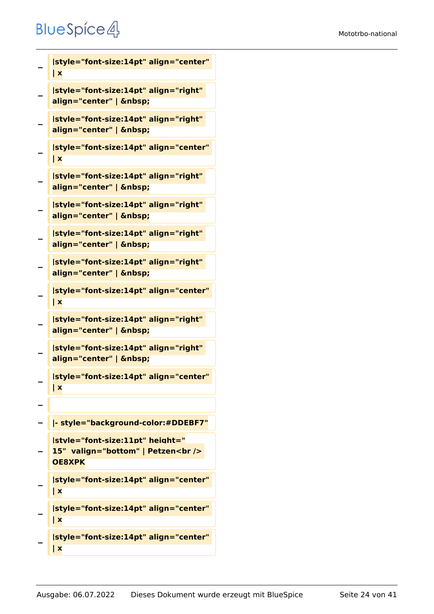**−**

**−**

**−**

**−**

**−**

**−**

**−**

**−**

**−**

**−**

**−**

**−**

**−**

**−**

**−**

```
| x
|style="font-size:14pt" align="right" 
align="center" |  
|style="font-size:14pt" align="right" 
align="center" |  
|style="font-size:14pt" align="center" 
| x
|style="font-size:14pt" align="right" 
align="center" |  
|style="font-size:14pt" align="right" 
align="center" |  
|style="font-size:14pt" align="right" 
align="center" |  
|style="font-size:14pt" align="right" 
align="center" |  
|style="font-size:14pt" align="center" 
| x
|style="font-size:14pt" align="right" 
align="center" |  
|style="font-size:14pt" align="right" 
align="center" |  
|style="font-size:14pt" align="center" 
| x
− |- style="background-color:#DDEBF7"
|style="font-size:11pt" height="
15"  valign="bottom" | Petzen<br /> 
OE8XPK
```
**|style="font-size:14pt" align="center"** 

**− |style="font-size:14pt" align="center" | x**

```
|style="font-size:14pt" align="center" 
| x
```

```
−
   |style="font-size:14pt" align="center" 
   | x
```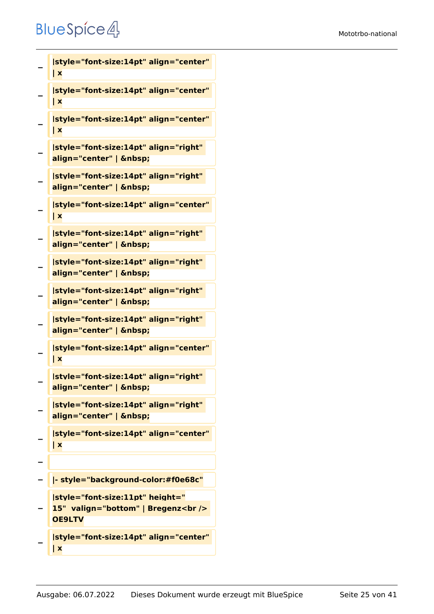```
−
   |style="font-size:14pt" align="center" 
   | x
−
   |style="font-size:14pt" align="center" 
   | x
−
   |style="font-size:14pt" align="center" 
   | x
−
   |style="font-size:14pt" align="right" 
   align="center" |  
−
   |style="font-size:14pt" align="right" 
   align="center" |  
−
   |style="font-size:14pt" align="center" 
   | x
−
   |style="font-size:14pt" align="right" 
   align="center" |  
−
   |style="font-size:14pt" align="right" 
   align="center" |  
−
   |style="font-size:14pt" align="right" 
   align="center" |  
−
   |style="font-size:14pt" align="right" 
   align="center" |  
−
   |style="font-size:14pt" align="center" 
   | x
−
   |style="font-size:14pt" align="right" 
   align="center" | &nbsp:
−
   |style="font-size:14pt" align="right" 
   align="center" |  
−
   |style="font-size:14pt" align="center" 
   | x
−
  − |- style="background-color:#f0e68c"
−
   |style="font-size:11pt" height="
   15"  valign="bottom" | Bregenz<br /> 
   OE9LTV
   |style="font-size:14pt" align="center"
```

```
−
   | x
```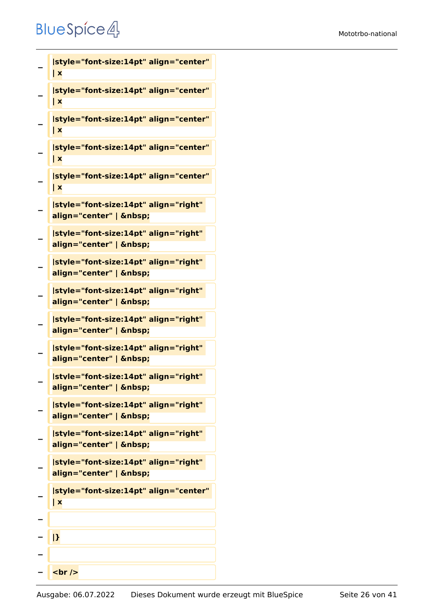**−**

**| x**

```
−
   |style="font-size:14pt" align="center" 
   | x
−
   |style="font-size:14pt" align="center" 
   | x
−
   |style="font-size:14pt" align="center" 
   | x
−
   |style="font-size:14pt" align="center" 
   | x
−
   |style="font-size:14pt" align="right" 
   align="center" |  
−
   |style="font-size:14pt" align="right" 
   align="center" |  
−
   |style="font-size:14pt" align="right" 
   align="center" |  
−
   |style="font-size:14pt" align="right" 
   align="center" |  
−
   |style="font-size:14pt" align="right" 
   align="center" |  
−
   |style="font-size:14pt" align="right" 
   align="center" |  
−
   |style="font-size:14pt" align="right" 
   align="center" |  
−
   |style="font-size:14pt" align="right" 
   align="center" |  
−
   |style="font-size:14pt" align="right" 
   align="center" |  
−
   |style="font-size:14pt" align="right" 
   align="center" |  
−
   |style="font-size:14pt" align="center" 
   | x
−
  − |}
−
   − <br />
```
**|style="font-size:14pt" align="center"**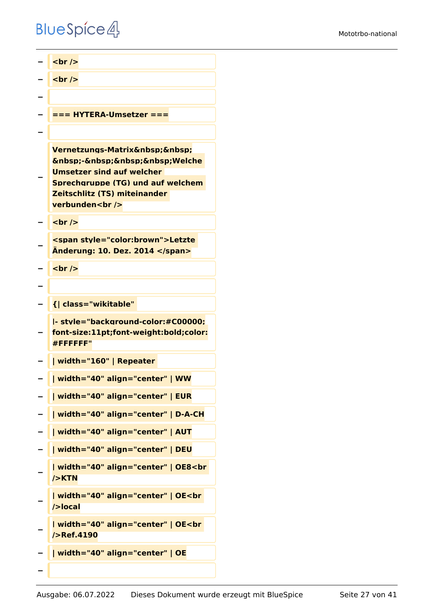*<u></u>* **<br /> <del>l</del>** <br /> **− − === HYTERA-Umsetzer === − − Vernetzungs-Matrix**   $\&$ nbsp;- $\&$ nbsp; $\&$ nbsp; $\&$ nbsp;Welche **Umsetzer sind auf welcher Sprechgruppe (TG) und auf welchem Zeitschlitz (TS) miteinander verbunden<br />** *<u></u>* **<br /> − <span style="color:brown">Letzte Änderung: 10. Dez. 2014 </span> <u><del></del>** <br /></u> **− − {| class="wikitable" − |- style="background-color:#C00000; font-size:11pt;font-weight:bold;color: #FFFFFF" − | width="160" | Repeater − | width="40" align="center" | WW − | width="40" align="center" | EUR − | width="40" align="center" | D-A-CH − | width="40" align="center" | AUT − | width="40" align="center" | DEU − | width="40" align="center" | OE8<br />KTN − | width="40" align="center" | OE<br />local − | width="40" align="center" | OE<br />Ref.4190 − | width="40" align="center" | OE −**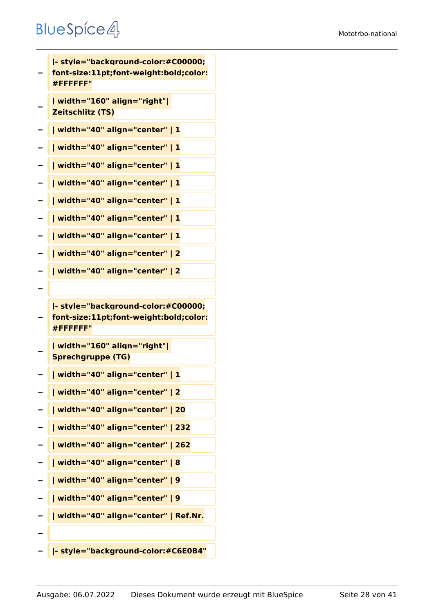**− |- style="background-color:#C00000; font-size:11pt;font-weight:bold;color: #FFFFFF" − | width="160" align="right"| Zeitschlitz (TS) − | width="40" align="center" | 1 − | width="40" align="center" | 1 − | width="40" align="center" | 1 − | width="40" align="center" | 1 − | width="40" align="center" | 1 − | width="40" align="center" | 1 − | width="40" align="center" | 1 − | width="40" align="center" | 2 − | width="40" align="center" | 2 − − |- style="background-color:#C00000; font-size:11pt;font-weight:bold;color: #FFFFFF" − | width="160" align="right"| Sprechgruppe (TG) − | width="40" align="center" | 1 − | width="40" align="center" | 2 − | width="40" align="center" | 20 − | width="40" align="center" | 232 − | width="40" align="center" | 262 − | width="40" align="center" | 8 − | width="40" align="center" | 9 − | width="40" align="center" | 9 − | width="40" align="center" | Ref.Nr. − − |- style="background-color:#C6E0B4"**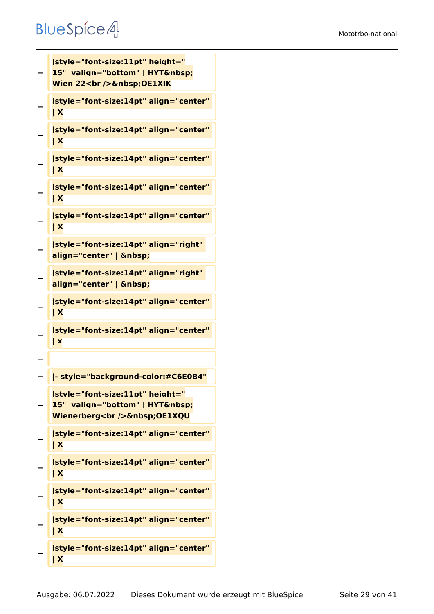#### Mototrbo-national

```
−
   |style="font-size:11pt" height="
   15" valign="bottom" | HYT 
   Wien 22<br />
Schaft>
OE1XIK
−
   |style="font-size:14pt" align="center" 
   | X
−
   |style="font-size:14pt" align="center" 
   | X
−
   |style="font-size:14pt" align="center" 
   | X
−
   |style="font-size:14pt" align="center" 
   | X
−
   |style="font-size:14pt" align="center" 
   | X
−
   |style="font-size:14pt" align="right" 
   align="center" |  
−
   |style="font-size:14pt" align="right" 
   align="center" |  
−
   |style="font-size:14pt" align="center" 
   | X
−
   |style="font-size:14pt" align="center" 
   | x
−
  − |- style="background-color:#C6E0B4"
−
   |style="font-size:11pt" height="
   15" valign="bottom" | HYT 
   Wienerberg<br />
Schbsp;OE1XQU
−
   |style="font-size:14pt" align="center" 
   | X
−
   |style="font-size:14pt" align="center" 
   | X
−
   |style="font-size:14pt" align="center" 
   | X
−
   |style="font-size:14pt" align="center" 
   | X
−
   |style="font-size:14pt" align="center" 
   | X
```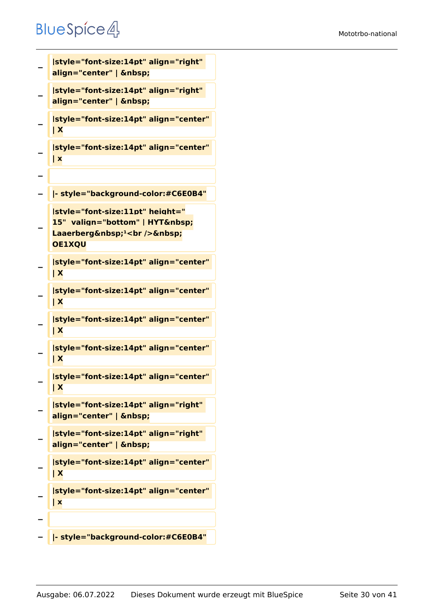```
−
   |style="font-size:14pt" align="right" 
   align="center" |  
−
   |style="font-size:14pt" align="right" 
   align="center" |  
−
   |style="font-size:14pt" align="center" 
   | X
−
   |style="font-size:14pt" align="center" 
   | x
−
  − |- style="background-color:#C6E0B4"
−
   |style="font-size:11pt" height="
   15" valign="bottom" | HYT 
   Laaerberg <sup>1</sup><br />
&nbsp;
   OE1XQU
−
   |style="font-size:14pt" align="center" 
   | X
−
   |style="font-size:14pt" align="center" 
   | X
−
   |style="font-size:14pt" align="center" 
   | X
−
   |style="font-size:14pt" align="center" 
   | X
−
   |style="font-size:14pt" align="center" 
   | X
−
   |style="font-size:14pt" align="right" 
   align="center" |  
−
   |style="font-size:14pt" align="right" 
   align="center" |  
−
   |style="font-size:14pt" align="center" 
   | X
−
   |style="font-size:14pt" align="center" 
   | x
−
  − |- style="background-color:#C6E0B4"
```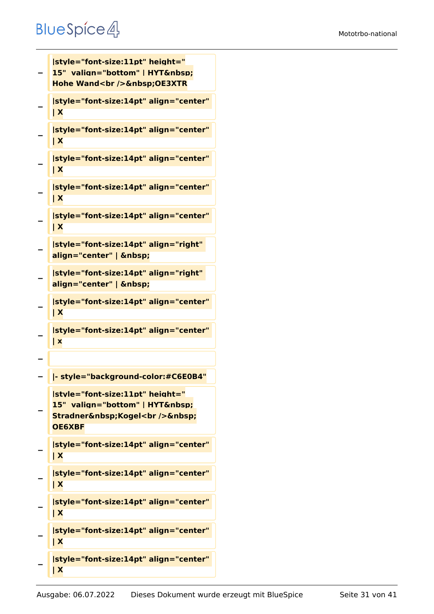```
−
   |style="font-size:11pt" height="
  15" valign="bottom" | HYT 
   Hohe Wand<br />
Sandsp; OE3XTR
−
   |style="font-size:14pt" align="center" 
   | X
−
   |style="font-size:14pt" align="center" 
   | X
−
   |style="font-size:14pt" align="center" 
   | X
−
   |style="font-size:14pt" align="center" 
   | X
−
   |style="font-size:14pt" align="center" 
   | X
−
   |style="font-size:14pt" align="right" 
   align="center" |  
−
   |style="font-size:14pt" align="right" 
   align="center" |  
−
   |style="font-size:14pt" align="center" 
   | X
−
   |style="font-size:14pt" align="center" 
   | x
−
  − |- style="background-color:#C6E0B4"
−
   |style="font-size:11pt" height="
   15" valign="bottom" | HYT 
   Stradner Kogel<br />
Stradner 
   OE6XBF
−
   |style="font-size:14pt" align="center" 
   | X
−
   |style="font-size:14pt" align="center" 
   | X
−
   |style="font-size:14pt" align="center" 
   | X
−
   |style="font-size:14pt" align="center" 
   | X
−
   |style="font-size:14pt" align="center" 
   | X
```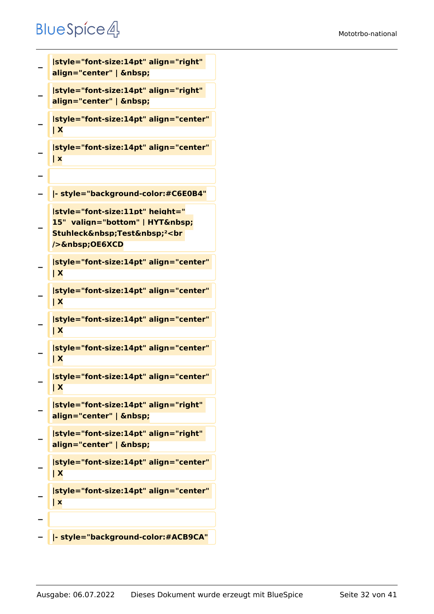```
−
   |style="font-size:14pt" align="right" 
   align="center" |  
−
  |style="font-size:14pt" align="right" 
   align="center" |  
−
   |style="font-size:14pt" align="center" 
   | X
−
   |style="font-size:14pt" align="center" 
   | x
−
  − |- style="background-color:#C6E0B4"
−
   |style="font-size:11pt" height="
   15" valign="bottom" | HYT 
   Stuhleck Test <sup>2</sup><br
   /> OE6XCD
−
   |style="font-size:14pt" align="center" 
   | X
−
   |style="font-size:14pt" align="center" 
   | X
−
   |style="font-size:14pt" align="center" 
   | X
−
   |style="font-size:14pt" align="center" 
   | X
−
   |style="font-size:14pt" align="center" 
   | X
−
   |style="font-size:14pt" align="right" 
   align="center" |  
−
   |style="font-size:14pt" align="right" 
   align="center" |  
−
   |style="font-size:14pt" align="center" 
   | X
−
   |style="font-size:14pt" align="center" 
   | x
−
  − |- style="background-color:#ACB9CA"
```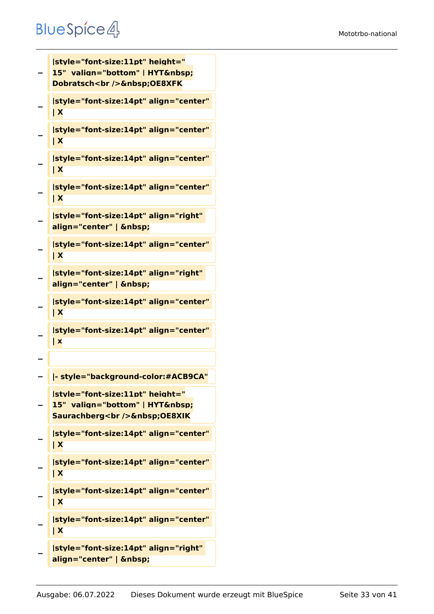**|style="font-size:11pt" height="**

```
−
   15" valign="bottom" | HYT 
   Dobratsch<br />
OE8XFK
−
   |style="font-size:14pt" align="center" 
   | X
−
   |style="font-size:14pt" align="center" 
   | X
−
   |style="font-size:14pt" align="center" 
   | X
−
   |style="font-size:14pt" align="center" 
   | X
−
   |style="font-size:14pt" align="right" 
   align="center" |  
−
   |style="font-size:14pt" align="center" 
   | X
−
   |style="font-size:14pt" align="right" 
   align="center" |  
−
   |style="font-size:14pt" align="center" 
   | X
−
   |style="font-size:14pt" align="center" 
   | x
−
  − |- style="background-color:#ACB9CA"
−
   |style="font-size:11pt" height="
   15" valign="bottom" | HYT 
   Saurachberg<br />
Saurachberg<br />
OE8XIK
−
   |style="font-size:14pt" align="center" 
   | X
−
   |style="font-size:14pt" align="center" 
   | X
−
   |style="font-size:14pt" align="center" 
   | X
−
   |style="font-size:14pt" align="center" 
   | X
−
   |style="font-size:14pt" align="right" 
   align="center" |
```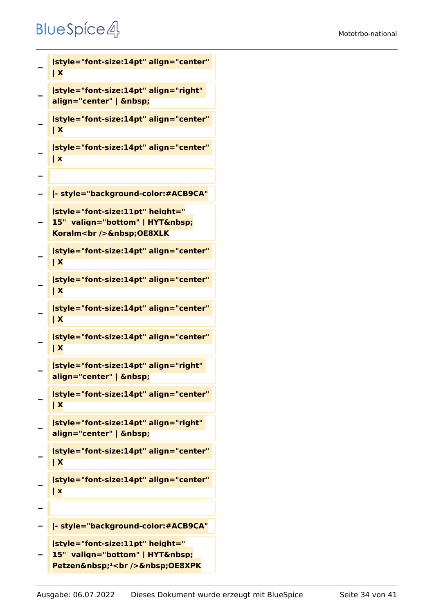```
−
   |style="font-size:14pt" align="center" 
   | X
−
   |style="font-size:14pt" align="right" 
   align="center" |  
−
   |style="font-size:14pt" align="center" 
   | X
−
   |style="font-size:14pt" align="center" 
   | x
−
  − |- style="background-color:#ACB9CA"
−
   |style="font-size:11pt" height="
   15" valign="bottom" | HYT 
   Koralm<br />
Example />
<u>Senbsp</u>;OE8XLK
−
   |style="font-size:14pt" align="center" 
   | X
−
   |style="font-size:14pt" align="center" 
   | X
−
   |style="font-size:14pt" align="center" 
   | X
−
   |style="font-size:14pt" align="center" 
   | X
−
   |style="font-size:14pt" align="right" 
   align="center" |  
−
   |style="font-size:14pt" align="center" 
   | X
−
   |style="font-size:14pt" align="right" 
   align="center" |  
−
   |style="font-size:14pt" align="center" 
   | X
−
   |style="font-size:14pt" align="center" 
   | x
−
   − |- style="background-color:#ACB9CA"
−
   |style="font-size:11pt" height="
   15"  valign="bottom" | HYT&nbsp:
   Petzen <sup>1</sup><br />
OE8XPK
```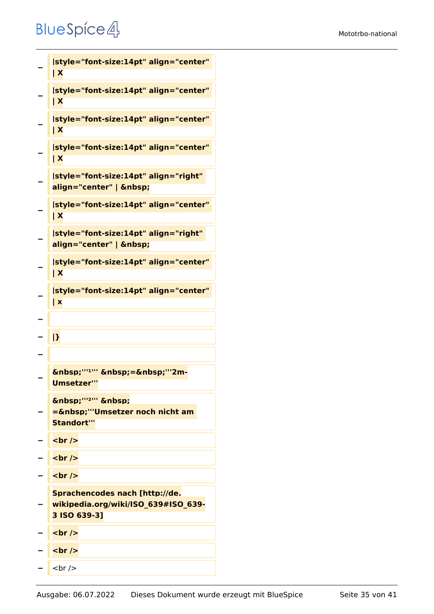```
−
    |style="font-size:14pt" align="center" 
    | X
−
    |style="font-size:14pt" align="center" 
    | X
−
    |style="font-size:14pt" align="center" 
    | X
−
    |style="font-size:14pt" align="center" 
    | X
−
    |style="font-size:14pt" align="right" 
    align="center" |  
−
    |style="font-size:14pt" align="center" 
    | X
−
    |style="font-size:14pt" align="right" 
    align="center" |  
−
    |style="font-size:14pt" align="center" 
    | X
−
    |style="font-size:14pt" align="center" 
    | x
−
   − |}
−
−
    \ "'<sup>1</sup>" \ =\ "'2m-
    Umsetzer'''
−
    \deltanbsp;'''<sup>2'''</sup> \deltanbsp;
   Example 1 = 6 \text{\math{\sigma_{\sigma_{\sigma_{\sigma_{\sigma_{\sigma_{\sigma_{\sigma_{\sigma_{\sigma_{\sigma_{\sigma_{\sigma_{\sigma_{\sigma_{\sigma_{\sigma_{\sigma_{\sigma_{\sigma_{\sigma_{\sigma_{\sigma_{\sigma_{\s
    Standort'''
− <br />
  <del>−</del> <u>k</del></u>
− <br />
−
    Sprachencodes nach [http://de.
   wikipedia.org/wiki/ISO_639#ISO_639-
    3 ISO 639-3]
 − <br />
− <br />
    − <br />
```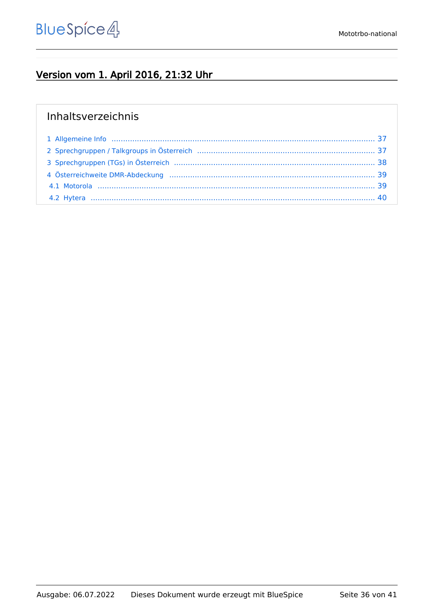#### Version vom 1. April 2016, 21:32 Uhr

#### Inhaltsverzeichnis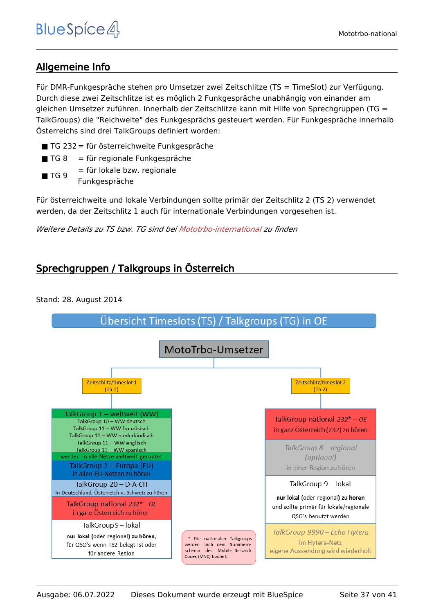#### <span id="page-36-0"></span>Allgemeine Info

Für DMR-Funkgespräche stehen pro Umsetzer zwei Zeitschlitze (TS = TimeSlot) zur Verfügung. Durch diese zwei Zeitschlitze ist es möglich 2 Funkgespräche unabhängig von einander am gleichen Umsetzer zuführen. Innerhalb der Zeitschlitze kann mit Hilfe von Sprechgruppen (TG = TalkGroups) die "Reichweite" des Funkgesprächs gesteuert werden. Für Funkgespräche innerhalb Österreichs sind drei TalkGroups definiert worden:

- TG 232 = für österreichweite Funkgespräche
- $\blacksquare$  TG 8 = für regionale Funkgespräche
- $\blacksquare$  TG 9 = für lokale bzw. regionale Funkgespräche

Für österreichweite und lokale Verbindungen sollte primär der Zeitschlitz 2 (TS 2) verwendet werden, da der Zeitschlitz 1 auch für internationale Verbindungen vorgesehen ist.

*Weitere Details zu TS bzw. TG sind bei [Mototrbo-international](https://wiki.oevsv.at/w/index.php?title=Mototrbo-international&action=view) zu finden*

#### <span id="page-36-1"></span>Sprechgruppen / Talkgroups in Österreich

Stand: 28. August 2014

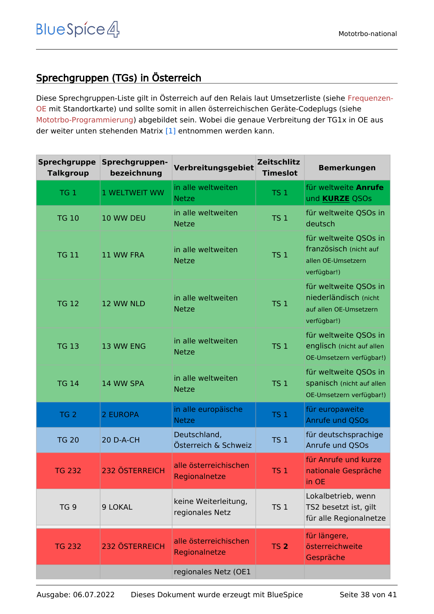#### <span id="page-37-0"></span>Sprechgruppen (TGs) in Österreich

Diese Sprechgruppen-Liste gilt in Österreich auf den Relais laut Umsetzerliste (siehe [Frequenzen-](https://wiki.oevsv.at/w/index.php?title=Frequenzen-OE&action=view)[OE](https://wiki.oevsv.at/w/index.php?title=Frequenzen-OE&action=view) mit Standortkarte) und sollte somit in allen österreichischen Geräte-Codeplugs (siehe [Mototrbo-Programmierung](https://wiki.oevsv.at/w/index.php?title=Mototrbo-Programmierung&action=view)) abgebildet sein. Wobei die genaue Verbreitung der TG1x in OE aus der weiter unten stehenden Matrix [\[1\]](http://wiki.oevsv.at/index.php?title=Mototrbo-national#DMR_Talkgroup-Matrix_in_.C3.96sterreich) entnommen werden kann.

| <b>Sprechgruppe</b><br><b>Talkgroup</b> | Sprechgruppen-<br>bezeichnung | Verbreitungsgebiet                      | <b>Zeitschlitz</b><br><b>Timeslot</b> | <b>Bemerkungen</b>                                                                      |
|-----------------------------------------|-------------------------------|-----------------------------------------|---------------------------------------|-----------------------------------------------------------------------------------------|
| TG <sub>1</sub>                         | 1 WELTWEIT WW                 | in alle weltweiten<br><b>Netze</b>      | <b>TS 1</b>                           | für weltweite Anrufe<br>und <b>KURZE</b> QSOs                                           |
| <b>TG 10</b>                            | 10 WW DEU                     | in alle weltweiten<br><b>Netze</b>      | TS <sub>1</sub>                       | für weltweite QSOs in<br>deutsch                                                        |
| <b>TG 11</b>                            | 11 WW FRA                     | in alle weltweiten<br><b>Netze</b>      | TS <sub>1</sub>                       | für weltweite QSOs in<br>französisch (nicht auf<br>allen OE-Umsetzern<br>verfügbar!)    |
| <b>TG 12</b>                            | 12 WW NLD                     | in alle weltweiten<br><b>Netze</b>      | TS <sub>1</sub>                       | für weltweite QSOs in<br>niederländisch (nicht<br>auf allen OE-Umsetzern<br>verfügbar!) |
| <b>TG 13</b>                            | 13 WW ENG                     | in alle weltweiten<br><b>Netze</b>      | <b>TS 1</b>                           | für weltweite QSOs in<br>englisch (nicht auf allen<br>OE-Umsetzern verfügbar!)          |
| <b>TG 14</b>                            | 14 WW SPA                     | in alle weltweiten<br><b>Netze</b>      | TS <sub>1</sub>                       | für weltweite QSOs in<br>spanisch (nicht auf allen<br>OE-Umsetzern verfügbar!)          |
| TG <sub>2</sub>                         | 2 EUROPA                      | in alle europäische<br><b>Netze</b>     | TS <sub>1</sub>                       | für europaweite<br>Anrufe und QSOs                                                      |
| <b>TG 20</b>                            | 20 D-A-CH                     | Deutschland,<br>Österreich & Schweiz    | TS <sub>1</sub>                       | für deutschsprachige<br>Anrufe und OSOs                                                 |
| <b>TG 232</b>                           | <b>232 ÖSTERREICH</b>         | alle österreichischen<br>Regionalnetze  | <b>TS 1</b>                           | für Anrufe und kurze<br>nationale Gespräche<br>in OE                                    |
| TG <sub>9</sub>                         | 9 LOKAL                       | keine Weiterleitung,<br>regionales Netz | <b>TS 1</b>                           | Lokalbetrieb, wenn<br>TS2 besetzt ist, gilt<br>für alle Regionalnetze                   |
| <b>TG 232</b>                           | 232 ÖSTERREICH                | alle österreichischen<br>Regionalnetze  | <b>TS 2</b>                           | für längere,<br>österreichweite<br>Gespräche                                            |
|                                         |                               | regionales Netz (OE1                    |                                       |                                                                                         |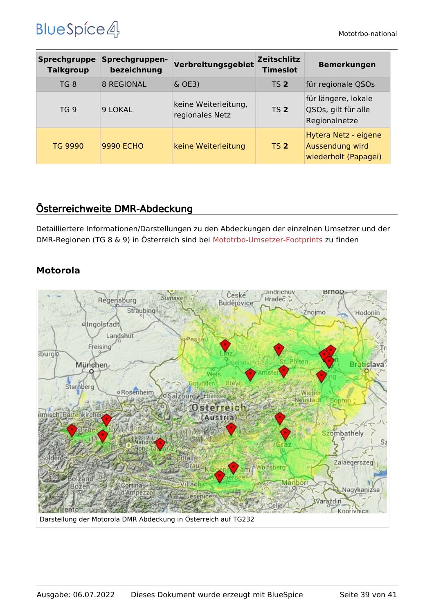| <b>Sprechgruppe</b><br><b>Talkgroup</b> | Sprechgruppen-<br>bezeichnung | Verbreitungsgebiet                      | <b>Zeitschlitz</b><br><b>Timeslot</b> | <b>Bemerkungen</b>                                              |
|-----------------------------------------|-------------------------------|-----------------------------------------|---------------------------------------|-----------------------------------------------------------------|
| TG 8                                    | <b>8 REGIONAL</b>             | $\&$ OE3)                               | <b>TS 2</b>                           | für regionale QSOs                                              |
| TG <sub>9</sub>                         | 9 LOKAL                       | keine Weiterleitung,<br>regionales Netz | TS <sub>2</sub>                       | für längere, lokale<br>QSOs, gilt für alle<br>Regionalnetze     |
| <b>TG 9990</b>                          | <b>9990 ECHO</b>              | keine Weiterleitung                     | <b>TS 2</b>                           | Hytera Netz - eigene<br>Aussendung wird<br>wiederholt (Papagei) |

#### <span id="page-38-0"></span>Österreichweite DMR-Abdeckung

Detailliertere Informationen/Darstellungen zu den Abdeckungen der einzelnen Umsetzer und der DMR-Regionen (TG 8 & 9) in Österreich sind bei [Mototrbo-Umsetzer-Footprints](https://wiki.oevsv.at/w/index.php?title=Mototrbo-Umsetzer-Footprints&action=view) zu finden

#### **Motorola**

<span id="page-38-1"></span>